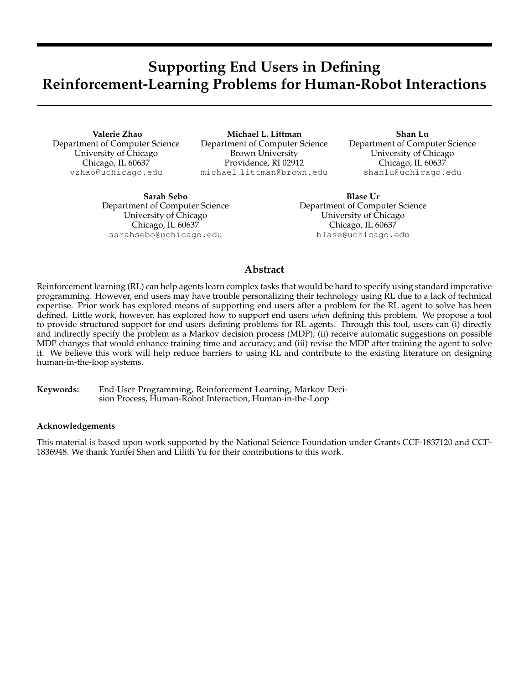# **Supporting End Users in Defining Reinforcement-Learning Problems for Human-Robot Interactions**

**Valerie Zhao** Department of Computer Science University of Chicago Chicago, IL 60637 vzhao@uchicago.edu

**Michael L. Littman** Department of Computer Science Brown University Providence, RI 02912 michael littman@brown.edu

**Shan Lu** Department of Computer Science University of Chicago Chicago, IL 60637 shanlu@uchicago.edu

**Sarah Sebo** Department of Computer Science University of Chicago Chicago, IL 60637 sarahsebo@uchicago.edu

**Blase Ur** Department of Computer Science University of Chicago Chicago, IL 60637 blase@uchicago.edu

# **Abstract**

Reinforcement learning (RL) can help agents learn complex tasks that would be hard to specify using standard imperative programming. However, end users may have trouble personalizing their technology using RL due to a lack of technical expertise. Prior work has explored means of supporting end users after a problem for the RL agent to solve has been defined. Little work, however, has explored how to support end users *when* defining this problem. We propose a tool to provide structured support for end users defining problems for RL agents. Through this tool, users can (i) directly and indirectly specify the problem as a Markov decision process (MDP); (ii) receive automatic suggestions on possible MDP changes that would enhance training time and accuracy; and (iii) revise the MDP after training the agent to solve it. We believe this work will help reduce barriers to using RL and contribute to the existing literature on designing human-in-the-loop systems.

**Keywords:** End-User Programming, Reinforcement Learning, Markov Decision Process, Human-Robot Interaction, Human-in-the-Loop

#### **Acknowledgements**

This material is based upon work supported by the National Science Foundation under Grants CCF-1837120 and CCF-1836948. We thank Yunfei Shen and Lilith Yu for their contributions to this work.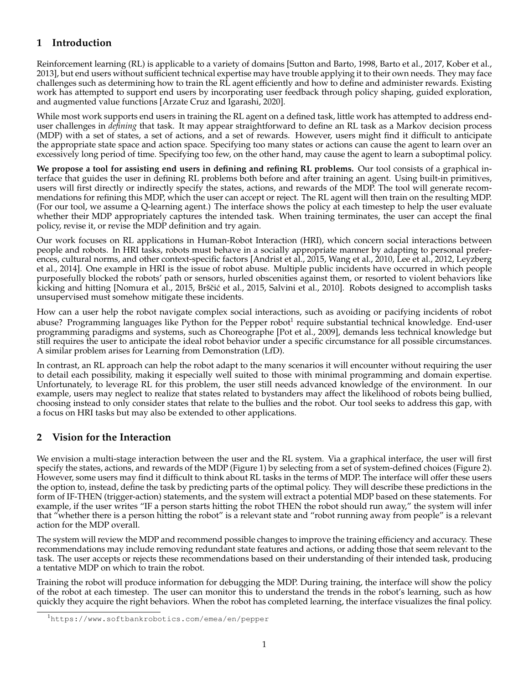# **1 Introduction**

Reinforcement learning (RL) is applicable to a variety of domains [Sutton and Barto, 1998, Barto et al., 2017, Kober et al., 2013], but end users without sufficient technical expertise may have trouble applying it to their own needs. They may face challenges such as determining how to train the RL agent efficiently and how to define and administer rewards. Existing work has attempted to support end users by incorporating user feedback through policy shaping, guided exploration, and augmented value functions [Arzate Cruz and Igarashi, 2020].

While most work supports end users in training the RL agent on a defined task, little work has attempted to address enduser challenges in *defining* that task. It may appear straightforward to define an RL task as a Markov decision process (MDP) with a set of states, a set of actions, and a set of rewards. However, users might find it difficult to anticipate the appropriate state space and action space. Specifying too many states or actions can cause the agent to learn over an excessively long period of time. Specifying too few, on the other hand, may cause the agent to learn a suboptimal policy.

**We propose a tool for assisting end users in defining and refining RL problems.** Our tool consists of a graphical interface that guides the user in defining RL problems both before and after training an agent. Using built-in primitives, users will first directly or indirectly specify the states, actions, and rewards of the MDP. The tool will generate recommendations for refining this MDP, which the user can accept or reject. The RL agent will then train on the resulting MDP. (For our tool, we assume a Q-learning agent.) The interface shows the policy at each timestep to help the user evaluate whether their MDP appropriately captures the intended task. When training terminates, the user can accept the final policy, revise it, or revise the MDP definition and try again.

Our work focuses on RL applications in Human-Robot Interaction (HRI), which concern social interactions between people and robots. In HRI tasks, robots must behave in a socially appropriate manner by adapting to personal preferences, cultural norms, and other context-specific factors [Andrist et al., 2015, Wang et al., 2010, Lee et al., 2012, Leyzberg et al., 2014]. One example in HRI is the issue of robot abuse. Multiple public incidents have occurred in which people purposefully blocked the robots' path or sensors, hurled obscenities against them, or resorted to violent behaviors like kicking and hitting [Nomura et al., 2015, Brščić et al., 2015, Salvini et al., 2010]. Robots designed to accomplish tasks unsupervised must somehow mitigate these incidents.

How can a user help the robot navigate complex social interactions, such as avoiding or pacifying incidents of robot abuse? Programming languages like Python for the Pepper robot<sup>1</sup> require substantial technical knowledge. End-user programming paradigms and systems, such as Choreographe [Pot et al., 2009], demands less technical knowledge but still requires the user to anticipate the ideal robot behavior under a specific circumstance for all possible circumstances. A similar problem arises for Learning from Demonstration (LfD).

In contrast, an RL approach can help the robot adapt to the many scenarios it will encounter without requiring the user to detail each possibility, making it especially well suited to those with minimal programming and domain expertise. Unfortunately, to leverage RL for this problem, the user still needs advanced knowledge of the environment. In our example, users may neglect to realize that states related to bystanders may affect the likelihood of robots being bullied, choosing instead to only consider states that relate to the bullies and the robot. Our tool seeks to address this gap, with a focus on HRI tasks but may also be extended to other applications.

# **2 Vision for the Interaction**

We envision a multi-stage interaction between the user and the RL system. Via a graphical interface, the user will first specify the states, actions, and rewards of the MDP (Figure 1) by selecting from a set of system-defined choices (Figure 2). However, some users may find it difficult to think about RL tasks in the terms of MDP. The interface will offer these users the option to, instead, define the task by predicting parts of the optimal policy. They will describe these predictions in the form of IF-THEN (trigger-action) statements, and the system will extract a potential MDP based on these statements. For example, if the user writes "IF a person starts hitting the robot THEN the robot should run away," the system will infer that "whether there is a person hitting the robot" is a relevant state and "robot running away from people" is a relevant action for the MDP overall.

The system will review the MDP and recommend possible changes to improve the training efficiency and accuracy. These recommendations may include removing redundant state features and actions, or adding those that seem relevant to the task. The user accepts or rejects these recommendations based on their understanding of their intended task, producing a tentative MDP on which to train the robot.

Training the robot will produce information for debugging the MDP. During training, the interface will show the policy of the robot at each timestep. The user can monitor this to understand the trends in the robot's learning, such as how quickly they acquire the right behaviors. When the robot has completed learning, the interface visualizes the final policy.

<sup>1</sup>https://www.softbankrobotics.com/emea/en/pepper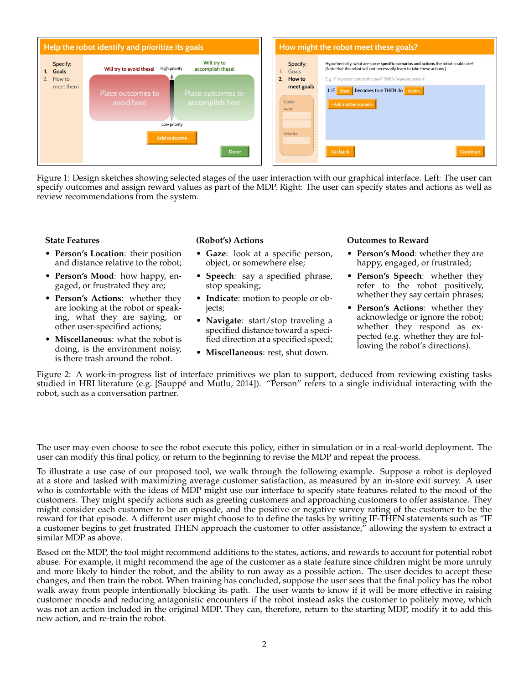

Figure 1: Design sketches showing selected stages of the user interaction with our graphical interface. Left: The user can specify outcomes and assign reward values as part of the MDP. Right: The user can specify states and actions as well as review recommendations from the system.

#### **State Features**

- **Person's Location**: their position and distance relative to the robot;
- **Person's Mood**: how happy, engaged, or frustrated they are;
- **Person's Actions**: whether they are looking at the robot or speaking, what they are saying, or other user-specified actions;
- **Miscellaneous**: what the robot is doing, is the environment noisy, is there trash around the robot.

#### **(Robot's) Actions**

- **Gaze**: look at a specific person, object, or somewhere else;
- **Speech**: say a specified phrase, stop speaking;
- **Indicate**: motion to people or objects;
- **Navigate**: start/stop traveling a specified distance toward a specified direction at a specified speed;
- **Miscellaneous**: rest, shut down.

#### **Outcomes to Reward**

- **Person's Mood**: whether they are happy, engaged, or frustrated;
- **Person's Speech**: whether they refer to the robot positively, whether they say certain phrases;
- **Person's Actions**: whether they acknowledge or ignore the robot; whether they respond as expected (e.g. whether they are following the robot's directions).

Figure 2: A work-in-progress list of interface primitives we plan to support, deduced from reviewing existing tasks studied in HRI literature (e.g. [Sauppé and Mutlu, 2014]). "Person" refers to a single individual interacting with the robot, such as a conversation partner.

The user may even choose to see the robot execute this policy, either in simulation or in a real-world deployment. The user can modify this final policy, or return to the beginning to revise the MDP and repeat the process.

To illustrate a use case of our proposed tool, we walk through the following example. Suppose a robot is deployed at a store and tasked with maximizing average customer satisfaction, as measured by an in-store exit survey. A user who is comfortable with the ideas of MDP might use our interface to specify state features related to the mood of the customers. They might specify actions such as greeting customers and approaching customers to offer assistance. They might consider each customer to be an episode, and the positive or negative survey rating of the customer to be the reward for that episode. A different user might choose to to define the tasks by writing IF-THEN statements such as "IF a customer begins to get frustrated THEN approach the customer to offer assistance," allowing the system to extract a similar MDP as above.

Based on the MDP, the tool might recommend additions to the states, actions, and rewards to account for potential robot abuse. For example, it might recommend the age of the customer as a state feature since children might be more unruly and more likely to hinder the robot, and the ability to run away as a possible action. The user decides to accept these changes, and then train the robot. When training has concluded, suppose the user sees that the final policy has the robot walk away from people intentionally blocking its path. The user wants to know if it will be more effective in raising customer moods and reducing antagonistic encounters if the robot instead asks the customer to politely move, which was not an action included in the original MDP. They can, therefore, return to the starting MDP, modify it to add this new action, and re-train the robot.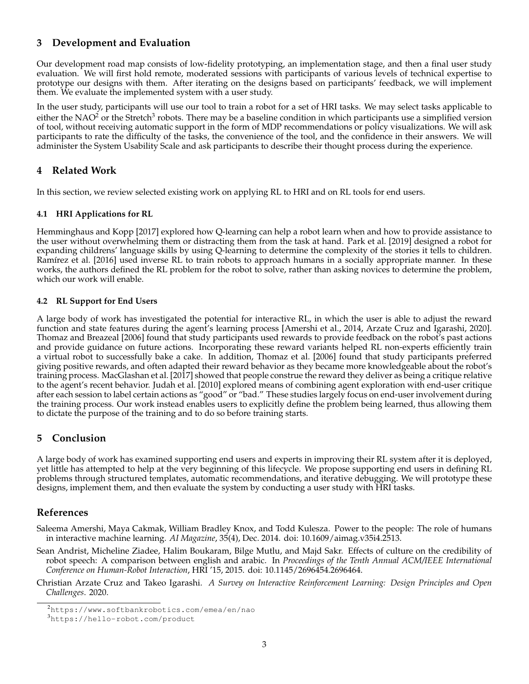# **3 Development and Evaluation**

Our development road map consists of low-fidelity prototyping, an implementation stage, and then a final user study evaluation. We will first hold remote, moderated sessions with participants of various levels of technical expertise to prototype our designs with them. After iterating on the designs based on participants' feedback, we will implement them. We evaluate the implemented system with a user study.

In the user study, participants will use our tool to train a robot for a set of HRI tasks. We may select tasks applicable to either the NAO $^2$  or the Stretch $^3$  robots. There may be a baseline condition in which participants use a simplified version of tool, without receiving automatic support in the form of MDP recommendations or policy visualizations. We will ask participants to rate the difficulty of the tasks, the convenience of the tool, and the confidence in their answers. We will administer the System Usability Scale and ask participants to describe their thought process during the experience.

# **4 Related Work**

In this section, we review selected existing work on applying RL to HRI and on RL tools for end users.

#### **4.1 HRI Applications for RL**

Hemminghaus and Kopp [2017] explored how Q-learning can help a robot learn when and how to provide assistance to the user without overwhelming them or distracting them from the task at hand. Park et al. [2019] designed a robot for expanding childrens' language skills by using Q-learning to determine the complexity of the stories it tells to children. Ramírez et al. [2016] used inverse RL to train robots to approach humans in a socially appropriate manner. In these works, the authors defined the RL problem for the robot to solve, rather than asking novices to determine the problem, which our work will enable.

#### **4.2 RL Support for End Users**

A large body of work has investigated the potential for interactive RL, in which the user is able to adjust the reward function and state features during the agent's learning process [Amershi et al., 2014, Arzate Cruz and Igarashi, 2020]. Thomaz and Breazeal [2006] found that study participants used rewards to provide feedback on the robot's past actions and provide guidance on future actions. Incorporating these reward variants helped RL non-experts efficiently train a virtual robot to successfully bake a cake. In addition, Thomaz et al. [2006] found that study participants preferred giving positive rewards, and often adapted their reward behavior as they became more knowledgeable about the robot's training process. MacGlashan et al. [2017] showed that people construe the reward they deliver as being a critique relative to the agent's recent behavior. Judah et al. [2010] explored means of combining agent exploration with end-user critique after each session to label certain actions as "good" or "bad." These studies largely focus on end-user involvement during the training process. Our work instead enables users to explicitly define the problem being learned, thus allowing them to dictate the purpose of the training and to do so before training starts.

### **5 Conclusion**

A large body of work has examined supporting end users and experts in improving their RL system after it is deployed, yet little has attempted to help at the very beginning of this lifecycle. We propose supporting end users in defining RL problems through structured templates, automatic recommendations, and iterative debugging. We will prototype these designs, implement them, and then evaluate the system by conducting a user study with HRI tasks.

# **References**

Saleema Amershi, Maya Cakmak, William Bradley Knox, and Todd Kulesza. Power to the people: The role of humans in interactive machine learning. *AI Magazine*, 35(4), Dec. 2014. doi: 10.1609/aimag.v35i4.2513.

Sean Andrist, Micheline Ziadee, Halim Boukaram, Bilge Mutlu, and Majd Sakr. Effects of culture on the credibility of robot speech: A comparison between english and arabic. In *Proceedings of the Tenth Annual ACM/IEEE International Conference on Human-Robot Interaction*, HRI '15, 2015. doi: 10.1145/2696454.2696464.

Christian Arzate Cruz and Takeo Igarashi. *A Survey on Interactive Reinforcement Learning: Design Principles and Open Challenges*. 2020.

<sup>2</sup>https://www.softbankrobotics.com/emea/en/nao

<sup>3</sup>https://hello-robot.com/product